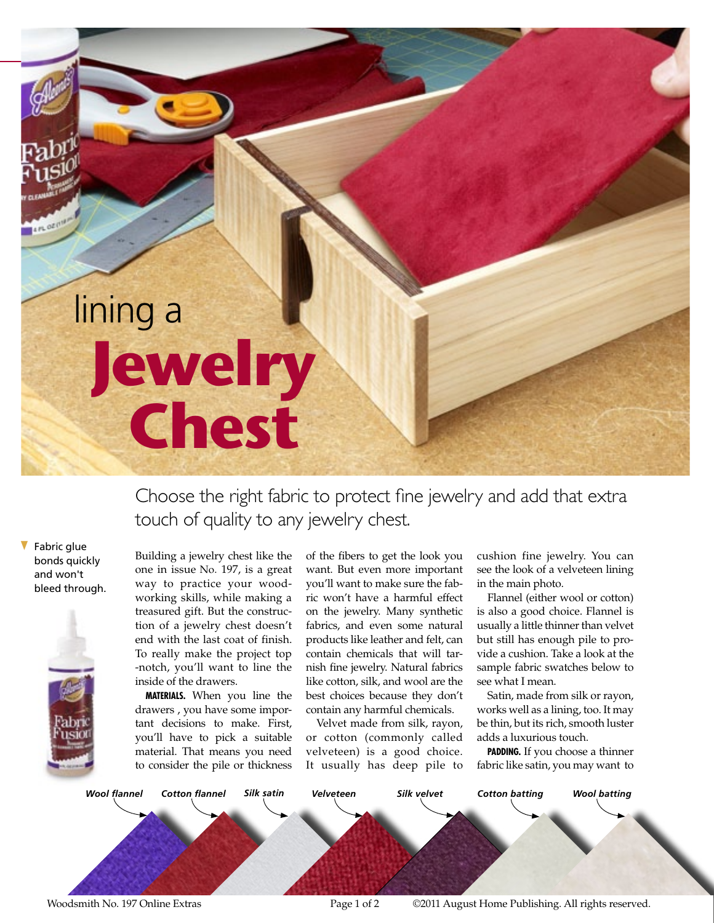## lining a **Jewelry Chest**

**Online Extra**

Choose the right fabric to protect fine jewelry and add that extra touch of quality to any jewelry chest.

Fabric glue bonds quickly and won't bleed through.



Building a jewelry chest like the one in issue No. 197, is a great way to practice your woodworking skills, while making a treasured gift. But the construction of a jewelry chest doesn't end with the last coat of finish. To really make the project top -notch, you'll want to line the inside of the drawers.

**Materials.** When you line the drawers , you have some important decisions to make. First, you'll have to pick a suitable material. That means you need to consider the pile or thickness

of the fibers to get the look you want. But even more important you'll want to make sure the fabric won't have a harmful effect on the jewelry. Many synthetic fabrics, and even some natural products like leather and felt, can contain chemicals that will tarnish fine jewelry. Natural fabrics like cotton, silk, and wool are the best choices because they don't contain any harmful chemicals.

Velvet made from silk, rayon, or cotton (commonly called velveteen) is a good choice. It usually has deep pile to cushion fine jewelry. You can see the look of a velveteen lining in the main photo.

Flannel (either wool or cotton) is also a good choice. Flannel is usually a little thinner than velvet but still has enough pile to provide a cushion. Take a look at the sample fabric swatches below to see what I mean.

Satin, made from silk or rayon, works well as a lining, too. It may be thin, but its rich, smooth luster adds a luxurious touch.

**PADDING.** If you choose a thinner fabric like satin, you may want to



Woodsmith No. 197 Online Extras Tagge 1 of 2 C2011 August Home Publishing. All rights reserved.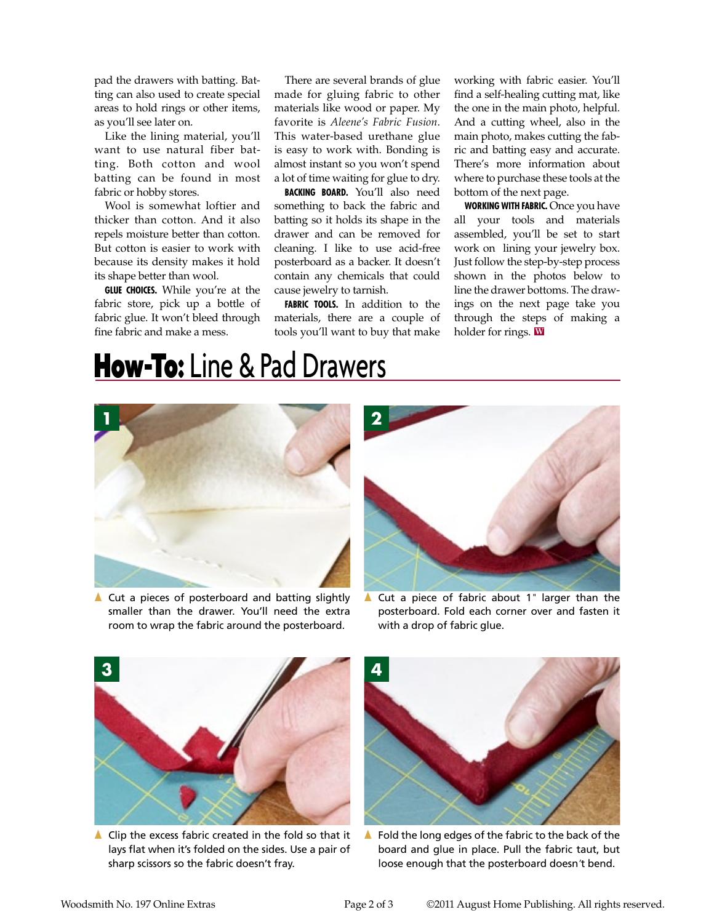pad the drawers with batting. Batting can also used to create special areas to hold rings or other items, as you'll see later on.

Like the lining material, you'll want to use natural fiber batting. Both cotton and wool batting can be found in most fabric or hobby stores.

Wool is somewhat loftier and thicker than cotton. And it also repels moisture better than cotton. But cotton is easier to work with because its density makes it hold its shape better than wool.

**Glue choices.** While you're at the fabric store, pick up a bottle of fabric glue. It won't bleed through fine fabric and make a mess.

There are several brands of glue made for gluing fabric to other materials like wood or paper. My favorite is *Aleene's Fabric Fusion*. This water-based urethane glue is easy to work with. Bonding is almost instant so you won't spend a lot of time waiting for glue to dry.

**Backing board.** You'll also need something to back the fabric and batting so it holds its shape in the drawer and can be removed for cleaning. I like to use acid-free posterboard as a backer. It doesn't contain any chemicals that could cause jewelry to tarnish.

**Fabric tools.** In addition to the materials, there are a couple of tools you'll want to buy that make

working with fabric easier. You'll find a self-healing cutting mat, like the one in the main photo, helpful. And a cutting wheel, also in the main photo, makes cutting the fabric and batting easy and accurate. There's more information about where to purchase these tools at the bottom of the next page.

**Working with Fabric.** Once you have all your tools and materials assembled, you'll be set to start work on lining your jewelry box. Just follow the step-by-step process shown in the photos below to line the drawer bottoms. The drawings on the next page take you through the steps of making a holder for rings. **W**

## **How-To:** Line & Pad Drawers



 $\triangle$  Cut a pieces of posterboard and batting slightly smaller than the drawer. You'll need the extra room to wrap the fabric around the posterboard.



{ Cut a piece of fabric about 1*"* larger than the posterboard. Fold each corner over and fasten it with a drop of fabric glue.



 $\triangle$  Clip the excess fabric created in the fold so that it lays flat when it's folded on the sides. Use a pair of sharp scissors so the fabric doesn't fray.



 $\blacktriangle$  Fold the long edges of the fabric to the back of the board and glue in place. Pull the fabric taut, but loose enough that the posterboard doesn*'*t bend.